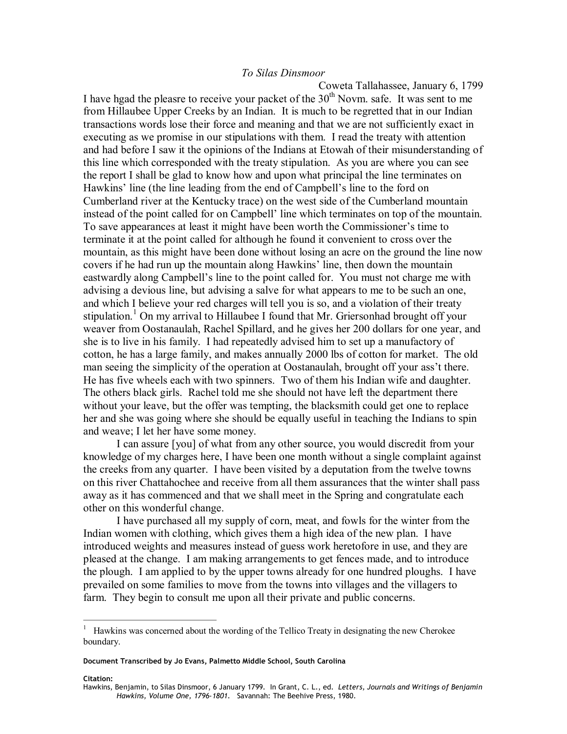## *To Silas Dinsmoor*

Coweta Tallahassee, January 6, 1799 I have hgad the pleasre to receive your packet of the  $30<sup>th</sup>$  Novm. safe. It was sent to me from Hillaubee Upper Creeks by an Indian. It is much to be regretted that in our Indian transactions words lose their force and meaning and that we are not sufficiently exact in executing as we promise in our stipulations with them. I read the treaty with attention and had before I saw it the opinions of the Indians at Etowah of their misunderstanding of this line which corresponded with the treaty stipulation. As you are where you can see the report I shall be glad to know how and upon what principal the line terminates on Hawkins' line (the line leading from the end of Campbell's line to the ford on Cumberland river at the Kentucky trace) on the west side of the Cumberland mountain instead of the point called for on Campbell' line which terminates on top of the mountain. To save appearances at least it might have been worth the Commissioner's time to terminate it at the point called for although he found it convenient to cross over the mountain, as this might have been done without losing an acre on the ground the line now covers if he had run up the mountain along Hawkins' line, then down the mountain eastwardly along Campbell's line to the point called for. You must not charge me with advising a devious line, but advising a salve for what appears to me to be such an one, and which I believe your red charges will tell you is so, and a violation of their treaty stipulation.<sup>1</sup> On my arrival to Hillaubee I found that Mr. Griersonhad brought off your weaver from Oostanaulah, Rachel Spillard, and he gives her 200 dollars for one year, and she is to live in his family. I had repeatedly advised him to set up a manufactory of cotton, he has a large family, and makes annually 2000 lbs of cotton for market. The old man seeing the simplicity of the operation at Oostanaulah, brought off your ass't there. He has five wheels each with two spinners. Two of them his Indian wife and daughter. The others black girls. Rachel told me she should not have left the department there without your leave, but the offer was tempting, the blacksmith could get one to replace her and she was going where she should be equally useful in teaching the Indians to spin and weave; I let her have some money.

I can assure [you] of what from any other source, you would discredit from your knowledge of my charges here, I have been one month without a single complaint against the creeks from any quarter. I have been visited by a deputation from the twelve towns on this river Chattahochee and receive from all them assurances that the winter shall pass away as it has commenced and that we shall meet in the Spring and congratulate each other on this wonderful change.

I have purchased all my supply of corn, meat, and fowls for the winter from the Indian women with clothing, which gives them a high idea of the new plan. I have introduced weights and measures instead of guess work heretofore in use, and they are pleased at the change. I am making arrangements to get fences made, and to introduce the plough. I am applied to by the upper towns already for one hundred ploughs. I have prevailed on some families to move from the towns into villages and the villagers to farm. They begin to consult me upon all their private and public concerns.

## Citation:

<sup>1</sup> Hawkins was concerned about the wording of the Tellico Treaty in designating the new Cherokee boundary.

**Document Transcribed by Jo Evans, Palmetto Middle School, South Carolina** 

Hawkins, Benjamin, to Silas Dinsmoor, 6 January 1799. In Grant, C. L., ed. *Letters, Journals and Writings of Benjamin*<br>*Hawkins, Volume One, 1796‐1801.* Savannah: The Beehive Press, 1980.